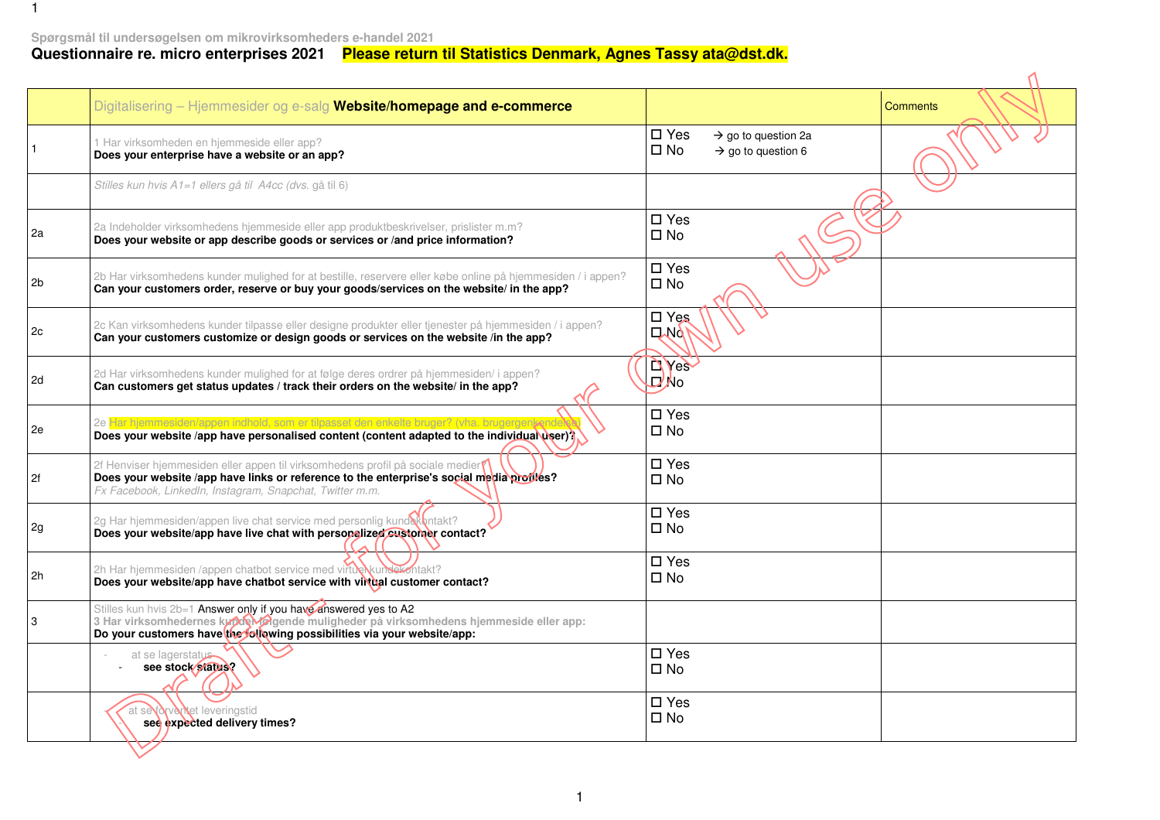## Spørgsmål til undersøgelsen om mikrovirksomheders e-handel 2021<br>Questionnaire re. micro enterprises 2021 <sup>–</sup> <mark>Please return til Statistics Denmark, Agnes Tassy ata@dst.dk.</mark>

|    | Digitalisering - Hjemmesider og e-salg Website/homepage and e-commerce                                                                                                                                                                   |                                                                                                    | <b>Comments</b> |
|----|------------------------------------------------------------------------------------------------------------------------------------------------------------------------------------------------------------------------------------------|----------------------------------------------------------------------------------------------------|-----------------|
|    | 1 Har virksomheden en hjemmeside eller app?<br>Does your enterprise have a website or an app?                                                                                                                                            | $\square$ Yes<br>$\rightarrow$ go to question 2a<br>$\square$ No<br>$\rightarrow$ go to question 6 |                 |
|    | Stilles kun hvis A1=1 ellers gå til A4cc (dvs. gå til 6)                                                                                                                                                                                 |                                                                                                    |                 |
| 2a | 2a Indeholder virksomhedens hjemmeside eller app produktbeskrivelser, prislister m.m?<br>Does your website or app describe goods or services or /and price information?                                                                  | $\square$ Yes<br>$\square$ No                                                                      |                 |
| 2b | 2b Har virksomhedens kunder mulighed for at bestille, reservere eller købe online på hjemmesiden / i appen?<br>Can your customers order, reserve or buy your goods/services on the website/ in the app?                                  | $\square$ Yes<br>$\square$ No                                                                      |                 |
| 2c | 2c Kan virksomhedens kunder tilpasse eller designe produkter eller tjenester på hjemmesiden / i appen?<br>Can your customers customize or design goods or services on the website /in the app?                                           | $\square$ Yes<br>$\Box$ No                                                                         |                 |
| 2d | 2d Har virksomhedens kunder mulighed for at følge deres ordrer på hjemmesiden/ i appen?<br>Can customers get status updates / track their orders on the website/ in the app?                                                             | <b>DASS</b><br><b>DANO</b>                                                                         |                 |
| 2e | 2e Har hjemmesiden/appen indhold, som er tilpasset den enkelte bruger? (vha. I<br>Does your website /app have personalised content (content adapted to the individual user)?                                                             | $\square$ Yes<br>$\square$ No                                                                      |                 |
| 2f | 2f Henviser hjemmesiden eller appen til virksomhedens profil på sociale medier?<br>Does your website /app have links or reference to the enterprise's social media profiles?<br>Fx Facebook, LinkedIn, Instagram, Snapchat, Twitter m.m. | $\square$ Yes<br>$\square$ No                                                                      |                 |
| 2g | 2g Har hjemmesiden/appen live chat service med personlig kunde (ontakt?<br>Does your website/app have live chat with personalized eustomer contact?                                                                                      | $\square$ Yes<br>$\square$ No                                                                      |                 |
| 2h | 2h Har hjemmesiden /appen chatbot service med virtuel kunsekontakt?<br>Does your website/app have chatbot service with virtual customer contact?                                                                                         | $\square$ Yes<br>$\square$ No                                                                      |                 |
| 3  | Stilles kun hvis 2b=1 Answer only if you have answered yes to A2<br>3 Har virksomhedernes kunder valgende muligheder på virksomhedens hjemmeside eller app:<br>Do your customers have the following possibilities via your website/app:  |                                                                                                    |                 |
|    | at se lagerstatus<br>see stock status?                                                                                                                                                                                                   | $\square$ Yes<br>$\square$ No                                                                      |                 |
|    | <b>drvantet</b> leveringstid<br>see expected delivery times?                                                                                                                                                                             | $\square$ Yes<br>$\square$ No                                                                      |                 |
|    |                                                                                                                                                                                                                                          |                                                                                                    |                 |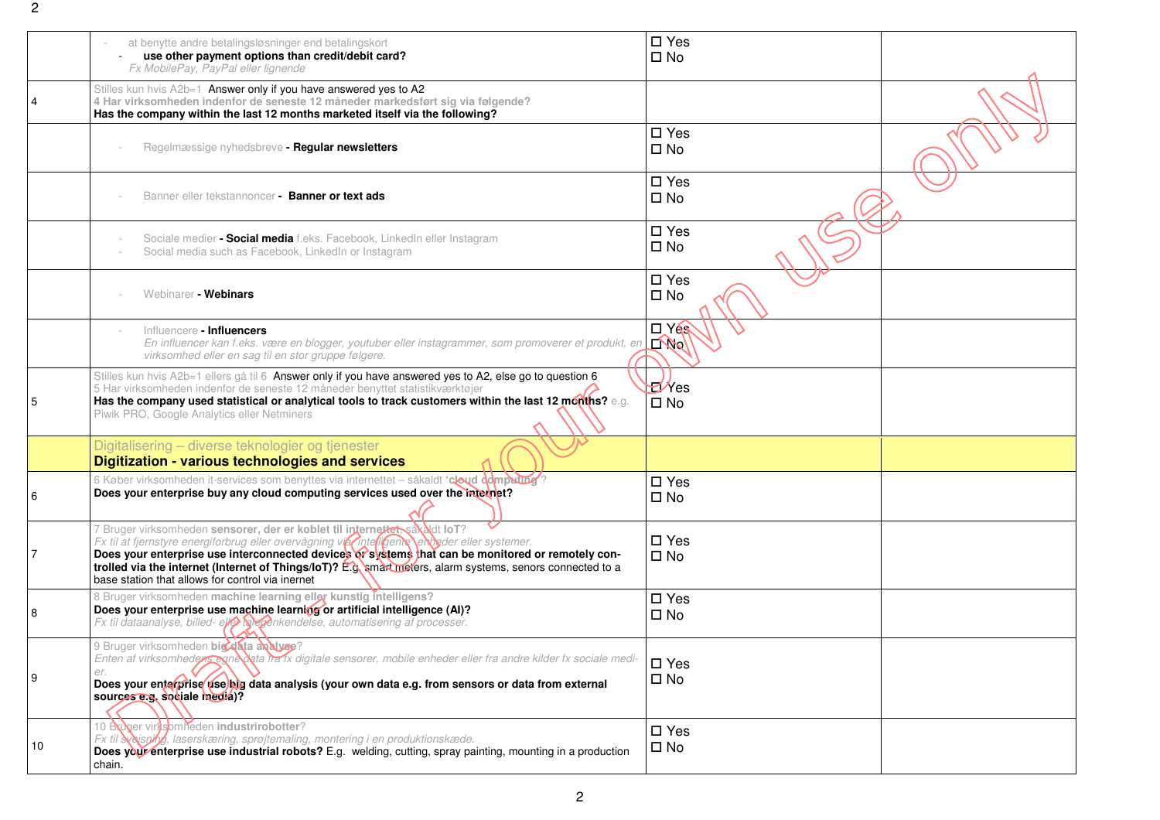|    | at benytte andre betalingsløsninger end betalingskort<br>use other payment options than credit/debit card?<br>Fx MobilePay, PayPal eller lignende                                                                                                                                                                                                                                                                                                  | $\square$ Yes<br>$\square$ No    |  |
|----|----------------------------------------------------------------------------------------------------------------------------------------------------------------------------------------------------------------------------------------------------------------------------------------------------------------------------------------------------------------------------------------------------------------------------------------------------|----------------------------------|--|
|    | Stilles kun hvis A2b=1 Answer only if you have answered yes to A2<br>4 Har virksomheden indenfor de seneste 12 måneder markedsført sig via følgende?<br>Has the company within the last 12 months marketed itself via the following?                                                                                                                                                                                                               |                                  |  |
|    | Regelmæssige nyhedsbreve - Regular newsletters                                                                                                                                                                                                                                                                                                                                                                                                     | $\square$ Yes<br>$\square$ No    |  |
|    | Banner eller tekstannoncer - Banner or text ads                                                                                                                                                                                                                                                                                                                                                                                                    | $\square$ Yes<br>$\square$ No    |  |
|    | Sociale medier - Social media f.eks. Facebook, LinkedIn eller Instagram<br>Social media such as Facebook, LinkedIn or Instagram                                                                                                                                                                                                                                                                                                                    | $\square$ Yes<br>$\square$ No    |  |
|    | Webinarer - Webinars                                                                                                                                                                                                                                                                                                                                                                                                                               | $\square$ Yes<br>$\square$ No    |  |
|    | Influencere - Influencers<br>En influencer kan f.eks. være en blogger, youtuber eller instagrammer, som promoverer et produkt, en<br>virksomhed eller en sag til en stor gruppe følgere.                                                                                                                                                                                                                                                           | $\Box$ Yes<br>$\mathbb{L}^{N_0}$ |  |
| 5  | Stilles kun hvis A2b=1 ellers gå til 6 Answer only if you have answered yes to A2, else go to question 6<br>5 Har virksomheden indenfor de seneste 12 måneder benyttet statistikværktøjer<br>Has the company used statistical or analytical tools to track customers within the last 12 months? e.g.<br>Piwik PRO, Google Analytics eller Netminers                                                                                                | $E$ /Yes<br>$\square$ No         |  |
|    | Digitalisering - diverse teknologier og tjenester<br>Digitization - various technologies and services                                                                                                                                                                                                                                                                                                                                              |                                  |  |
| 6  | 6 Køber virksomheden it-services som benyttes via internettet – såkaldt 'cloud computing'?<br>Does your enterprise buy any cloud computing services used over the internet?                                                                                                                                                                                                                                                                        | $\square$ Yes<br>$\square$ No    |  |
|    | 7 Bruger virksomheden sensorer, der er koblet til internettet så aldt loT?<br>Fx til at fjernstyre energiforbrug eller overvågning via Thtellgente energier eller systemer.<br>Does your enterprise use interconnected devices of systems that can be monitored or remotely con-<br>trolled via the internet (Internet of Things/IoT)? E.g. smart moters, alarm systems, senors connected to a<br>base station that allows for control via inernet | $\square$ Yes<br>$\square$ No    |  |
| 8  | 8 Bruger virksomheden machine learning eller kunstig intelligens?<br>Does your enterprise use machine learning or artificial intelligence (Al)?<br>Fx til dataanalyse, billed- ellentale genkendelse, automatisering af processer.                                                                                                                                                                                                                 | $\square$ Yes<br>$\square$ No    |  |
| 9  | 9 Bruger virksomheden big data analyse?<br>Enten af virksomheden egnedata fra 1x digitale sensorer, mobile enheder eller fra andre kilder fx sociale medi-<br>Does your enterprise use big data analysis (your own data e.g. from sensors or data from external<br>sources e.g. sociale media)?                                                                                                                                                    | $\square$ Yes<br>$\square$ No    |  |
| 10 | 10 Bruger virksomheden industrirobotter?<br>Fx til <b>Najsning</b> , laserskæring, sprøjtemaling, montering i en produktionskæde.<br>Does your enterprise use industrial robots? E.g. welding, cutting, spray painting, mounting in a production<br>chain.                                                                                                                                                                                         | $\square$ Yes<br>$\square$ No    |  |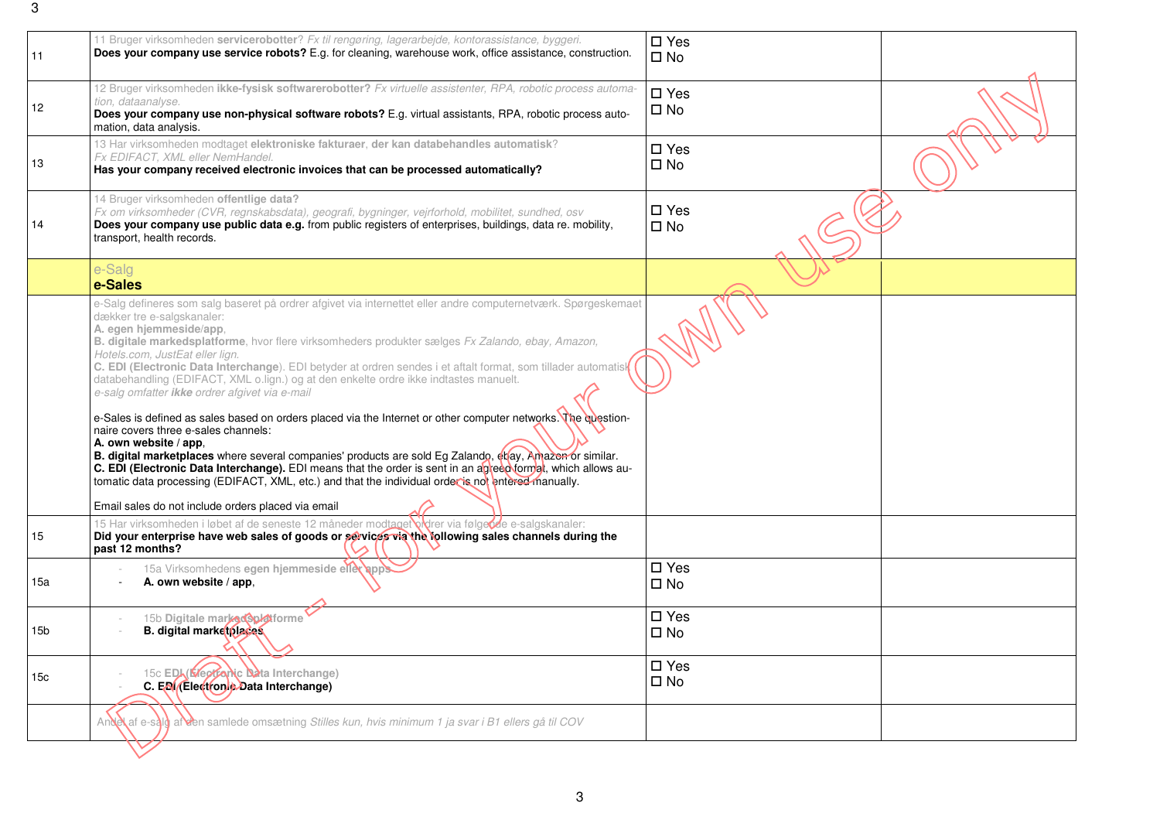| 11              | 11 Bruger virksomheden servicerobotter? Fx til rengøring, lagerarbejde, kontorassistance, byggeri.<br>Does your company use service robots? E.g. for cleaning, warehouse work, office assistance, construction.                                                                                                                                                                                                                                                                                                                                                                                                                                                                                                                                                                                                                                                                                                                                                                                                                                                                                                                                        | $\square$ Yes<br>$\square$ No |  |
|-----------------|--------------------------------------------------------------------------------------------------------------------------------------------------------------------------------------------------------------------------------------------------------------------------------------------------------------------------------------------------------------------------------------------------------------------------------------------------------------------------------------------------------------------------------------------------------------------------------------------------------------------------------------------------------------------------------------------------------------------------------------------------------------------------------------------------------------------------------------------------------------------------------------------------------------------------------------------------------------------------------------------------------------------------------------------------------------------------------------------------------------------------------------------------------|-------------------------------|--|
| 12              | 12 Bruger virksomheden ikke-fysisk softwarerobotter? Fx virtuelle assistenter, RPA, robotic process automa-<br>tion, dataanalyse.<br>Does your company use non-physical software robots? E.g. virtual assistants, RPA, robotic process auto-<br>mation, data analysis.                                                                                                                                                                                                                                                                                                                                                                                                                                                                                                                                                                                                                                                                                                                                                                                                                                                                                 | $\square$ Yes<br>$\square$ No |  |
| 13              | 13 Har virksomheden modtaget elektroniske fakturaer, der kan databehandles automatisk?<br>Fx EDIFACT, XML eller NemHandel.<br>Has your company received electronic invoices that can be processed automatically?                                                                                                                                                                                                                                                                                                                                                                                                                                                                                                                                                                                                                                                                                                                                                                                                                                                                                                                                       | $\square$ Yes<br>$\square$ No |  |
| 14              | 14 Bruger virksomheden offentlige data?<br>Fx om virksomheder (CVR, regnskabsdata), geografi, bygninger, vejrforhold, mobilitet, sundhed, osv<br>Does your company use public data e.g. from public registers of enterprises, buildings, data re. mobility,<br>transport, health records.                                                                                                                                                                                                                                                                                                                                                                                                                                                                                                                                                                                                                                                                                                                                                                                                                                                              | $\square$ Yes<br>$\square$ No |  |
|                 | e-Salg<br>e-Sales                                                                                                                                                                                                                                                                                                                                                                                                                                                                                                                                                                                                                                                                                                                                                                                                                                                                                                                                                                                                                                                                                                                                      |                               |  |
|                 | e-Salg defineres som salg baseret på ordrer afgivet via internettet eller andre computernetværk. Spørgeskemaet<br>dækker tre e-salgskanaler:<br>A. egen hjemmeside/app,<br>B. digitale markedsplatforme, hvor flere virksomheders produkter sælges Fx Zalando, ebay, Amazon,<br>Hotels.com, JustEat eller lign.<br>C. EDI (Electronic Data Interchange). EDI betyder at ordren sendes i et aftalt format, som tillader automatisk<br>databehandling (EDIFACT, XML o.lign.) og at den enkelte ordre ikke indtastes manuelt.<br>e-salg omfatter ikke ordrer afgivet via e-mail<br>e-Sales is defined as sales based on orders placed via the Internet or other computer networks. The cuestion-<br>naire covers three e-sales channels:<br>A. own website / app,<br>B. digital marketplaces where several companies' products are sold Eg Zalando, evay, Amazen or similar.<br>C. EDI (Electronic Data Interchange). EDI means that the order is sent in an agreed format, which allows au-<br>tomatic data processing (EDIFACT, XML, etc.) and that the individual order is not entered manually.<br>Email sales do not include orders placed via email |                               |  |
| 15              | 15 Har virksomheden i løbet af de seneste 12 måneder modtagetok drer via følgende e-salgskanaler:<br>Did your enterprise have web sales of goods or services via the following sales channels during the<br>past 12 months?                                                                                                                                                                                                                                                                                                                                                                                                                                                                                                                                                                                                                                                                                                                                                                                                                                                                                                                            |                               |  |
| 15a             | 15a Virksomhedens egen hjemmeside elle app<br>A. own website / app.                                                                                                                                                                                                                                                                                                                                                                                                                                                                                                                                                                                                                                                                                                                                                                                                                                                                                                                                                                                                                                                                                    | $\square$ Yes<br>$\square$ No |  |
| 15b             | 15b Digitale marked Subtforme<br><b>B.</b> digital markerplaces                                                                                                                                                                                                                                                                                                                                                                                                                                                                                                                                                                                                                                                                                                                                                                                                                                                                                                                                                                                                                                                                                        | $\square$ Yes<br>$\square$ No |  |
| 15 <sub>c</sub> | 15c EDL (Electronic Data Interchange)<br>C. ED/(Electronic Data Interchange)                                                                                                                                                                                                                                                                                                                                                                                                                                                                                                                                                                                                                                                                                                                                                                                                                                                                                                                                                                                                                                                                           | $\square$ Yes<br>$\square$ No |  |
|                 | Andel af e-sald af den samlede omsætning Stilles kun, hvis minimum 1 ja svar i B1 ellers gå til COV                                                                                                                                                                                                                                                                                                                                                                                                                                                                                                                                                                                                                                                                                                                                                                                                                                                                                                                                                                                                                                                    |                               |  |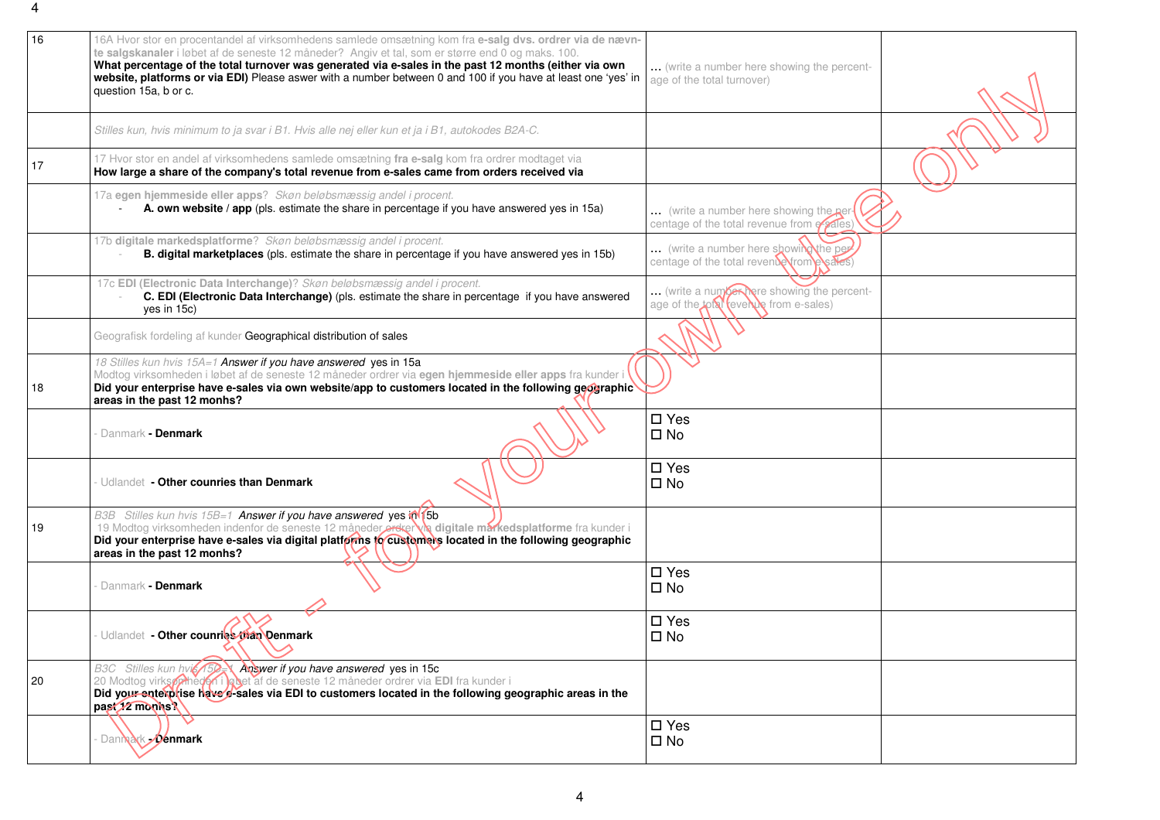| 16 | 16A Hvor stor en procentandel af virksomhedens samlede omsætning kom fra e-salg dvs. ordrer via de nævn-<br>te salgskanaler i løbet af de seneste 12 måneder? Angiv et tal, som er større end 0 og maks. 100.<br>What percentage of the total turnover was generated via e-sales in the past 12 months (either via own<br>website, platforms or via EDI) Please aswer with a number between 0 and 100 if you have at least one 'yes' in<br>question 15a, b or c. | (write a number here showing the percent-<br>age of the total turnover)                    |  |
|----|------------------------------------------------------------------------------------------------------------------------------------------------------------------------------------------------------------------------------------------------------------------------------------------------------------------------------------------------------------------------------------------------------------------------------------------------------------------|--------------------------------------------------------------------------------------------|--|
|    | Stilles kun, hvis minimum to ja svar i B1. Hvis alle nej eller kun et ja i B1, autokodes B2A-C.                                                                                                                                                                                                                                                                                                                                                                  |                                                                                            |  |
| 17 | 17 Hvor stor en andel af virksomhedens samlede omsætning fra e-salg kom fra ordrer modtaget via<br>How large a share of the company's total revenue from e-sales came from orders received via                                                                                                                                                                                                                                                                   |                                                                                            |  |
|    | 17a egen hjemmeside eller apps? Skøn beløbsmæssig andel i procent.<br>A. own website / app (pls. estimate the share in percentage if you have answered yes in 15a)                                                                                                                                                                                                                                                                                               | (write a number here showing the per-<br>centage of the total revenue from exales)         |  |
|    | 17b digitale markedsplatforme? Skøn beløbsmæssig andel i procent.<br>B. digital marketplaces (pls. estimate the share in percentage if you have answered yes in 15b)                                                                                                                                                                                                                                                                                             | (write a number here showing the per<br>centage of the total reventerfrom                  |  |
|    | 17c EDI (Electronic Data Interchange)? Skøn beløbsmæssig andel i procent.<br>C. EDI (Electronic Data Interchange) (pls. estimate the share in percentage if you have answered<br>yes in 15c)                                                                                                                                                                                                                                                                     | (write a number here showing the percent-<br>age of the <b>total reverve</b> from e-sales) |  |
|    | Geografisk fordeling af kunder Geographical distribution of sales                                                                                                                                                                                                                                                                                                                                                                                                |                                                                                            |  |
| 18 | 18 Stilles kun hvis 15A=1 Answer if you have answered yes in 15a<br>Modtog virksomheden i løbet af de seneste 12 måneder ordrer via egen hjemmeside eller apps fra kunder i<br>Did your enterprise have e-sales via own website/app to customers located in the following geographic<br>areas in the past 12 monhs?                                                                                                                                              |                                                                                            |  |
|    | Danmark - Denmark                                                                                                                                                                                                                                                                                                                                                                                                                                                | $\square$ Yes<br>$\square$ No                                                              |  |
|    | Udlandet - Other counries than Denmark                                                                                                                                                                                                                                                                                                                                                                                                                           | $\square$ Yes<br>$\square$ No                                                              |  |
| 19 | B3B Stilles kun hvis 15B=1 Answer if you have answered yes in 15b<br>19 Modtog virksomheden indenfor de seneste 12 måneder ordre Nia digitale markedsplatforme fra kunder i<br>Did your enterprise have e-sales via digital platforms to customers located in the following geographic<br>areas in the past 12 monhs?                                                                                                                                            |                                                                                            |  |
|    | <b>Danmark - Denmark</b>                                                                                                                                                                                                                                                                                                                                                                                                                                         | $\square$ Yes<br>$\square$ No                                                              |  |
|    | Udlandet - Other counries than Denmark                                                                                                                                                                                                                                                                                                                                                                                                                           | $\square$ Yes<br>$\square$ No                                                              |  |
| 20 | B3C Stilles kun hvis (150 ) Adswer if you have answered yes in 15c<br>20 Modtog virksønheden i bybet af de seneste 12 måneder ordrer via EDI fra kunder i<br>Did your enterprise have e-sales via EDI to customers located in the following geographic areas in the<br>past 12 monhs?                                                                                                                                                                            |                                                                                            |  |
|    | Dannak <b>Joenmark</b>                                                                                                                                                                                                                                                                                                                                                                                                                                           | $\square$ Yes<br>$\square$ No                                                              |  |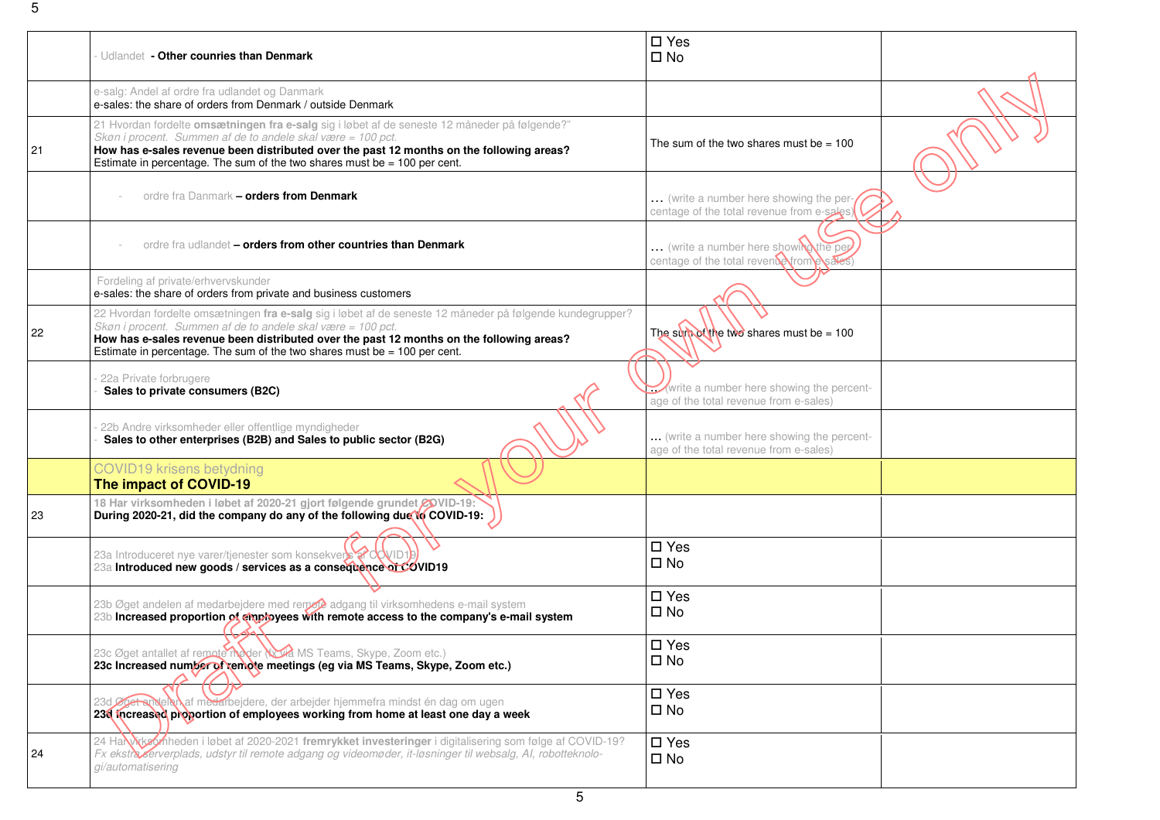|    |                                                                                                                                                                          | $\square$ Yes                              |  |
|----|--------------------------------------------------------------------------------------------------------------------------------------------------------------------------|--------------------------------------------|--|
|    | Udlandet - Other counries than Denmark                                                                                                                                   | $\square$ No                               |  |
|    |                                                                                                                                                                          |                                            |  |
|    | e-salg: Andel af ordre fra udlandet og Danmark<br>e-sales: the share of orders from Denmark / outside Denmark                                                            |                                            |  |
|    |                                                                                                                                                                          |                                            |  |
|    | 21 Hvordan fordelte omsætningen fra e-salg sig i løbet af de seneste 12 måneder på følgende?"<br>Skøn i procent. Summen af de to andele skal være = 100 pct.             |                                            |  |
| 21 | How has e-sales revenue been distributed over the past 12 months on the following areas?                                                                                 | The sum of the two shares must be $= 100$  |  |
|    | Estimate in percentage. The sum of the two shares must be $= 100$ per cent.                                                                                              |                                            |  |
|    |                                                                                                                                                                          |                                            |  |
|    |                                                                                                                                                                          |                                            |  |
|    | ordre fra Danmark - orders from Denmark                                                                                                                                  | (write a number here showing the per-      |  |
|    |                                                                                                                                                                          | centage of the total revenue from e-sales) |  |
|    |                                                                                                                                                                          |                                            |  |
|    | ordre fra udlandet – orders from other countries than Denmark                                                                                                            | (write a number here showing the per       |  |
|    |                                                                                                                                                                          | centage of the total revente from posale   |  |
|    | Fordeling af private/erhvervskunder                                                                                                                                      |                                            |  |
|    | e-sales: the share of orders from private and business customers                                                                                                         |                                            |  |
|    |                                                                                                                                                                          |                                            |  |
|    | 22 Hvordan fordelte omsætningen fra e-salg sig i løbet af de seneste 12 måneder på følgende kundegrupper?<br>Skøn i procent. Summen af de to andele skal være = 100 pct. |                                            |  |
| 22 | How has e-sales revenue been distributed over the past 12 months on the following areas?                                                                                 | The sum of the two shares must be = $100$  |  |
|    | Estimate in percentage. The sum of the two shares must be $= 100$ per cent.                                                                                              |                                            |  |
|    |                                                                                                                                                                          |                                            |  |
|    | 22a Private forbrugere                                                                                                                                                   |                                            |  |
|    | Sales to private consumers (B2C)                                                                                                                                         | write a number here showing the percent-   |  |
|    |                                                                                                                                                                          | age of the total revenue from e-sales)     |  |
|    | 22b Andre virksomheder eller offentlige myndigheder                                                                                                                      |                                            |  |
|    | Sales to other enterprises (B2B) and Sales to public sector (B2G)                                                                                                        | (write a number here showing the percent-  |  |
|    |                                                                                                                                                                          | age of the total revenue from e-sales)     |  |
|    | <b>COVID19 krisens betydning</b>                                                                                                                                         |                                            |  |
|    | The impact of COVID-19                                                                                                                                                   |                                            |  |
|    | 18 Har virksomheden i løbet af 2020-21 gjort følgende grundet GOVID-19:                                                                                                  |                                            |  |
| 23 | During 2020-21, did the company do any of the following due to COVID-19:                                                                                                 |                                            |  |
|    |                                                                                                                                                                          |                                            |  |
|    |                                                                                                                                                                          | $\square$ Yes                              |  |
|    | 23a Introduceret nye varer/tjenester som konsekversta dovid1                                                                                                             | $\square$ No                               |  |
|    | 23a Introduced new goods / services as a consequence of COVID19                                                                                                          |                                            |  |
|    |                                                                                                                                                                          |                                            |  |
|    | 23b Øget andelen af medarbejdere med remoto adgang til virksomhedens e-mail system                                                                                       | $\square$ Yes                              |  |
|    | 23b Increased proportion of employees with remote access to the company's e-mail system                                                                                  | $\square$ No                               |  |
|    |                                                                                                                                                                          |                                            |  |
|    |                                                                                                                                                                          | $\square$ Yes                              |  |
|    | 23c Øget antallet af remote moder (Noa MS Teams, Skype, Zoom etc.)<br>23c Increased number of remote meetings (eg via MS Teams, Skype, Zoom etc.)                        | $\square$ No                               |  |
|    |                                                                                                                                                                          |                                            |  |
|    |                                                                                                                                                                          | $\square$ Yes                              |  |
|    | ledarbejdere, der arbejder hjemmefra mindst én dag om ugen                                                                                                               | $\square$ No                               |  |
|    | 236 Increased proportion of employees working from home at least one day a week                                                                                          |                                            |  |
|    | 24 Harrich Archives Anneden i løbet af 2020-2021 fremrykket investeringer i digitalisering som følge af COVID-19?                                                        |                                            |  |
| 24 | Fx ekstra erverplads, udstyr til remote adgang og videomøder, it-løsninger til websalg, AI, robotteknolo-                                                                | $\square$ Yes                              |  |
|    | gi/automatisering                                                                                                                                                        | $\square$ No                               |  |
|    |                                                                                                                                                                          |                                            |  |
|    |                                                                                                                                                                          |                                            |  |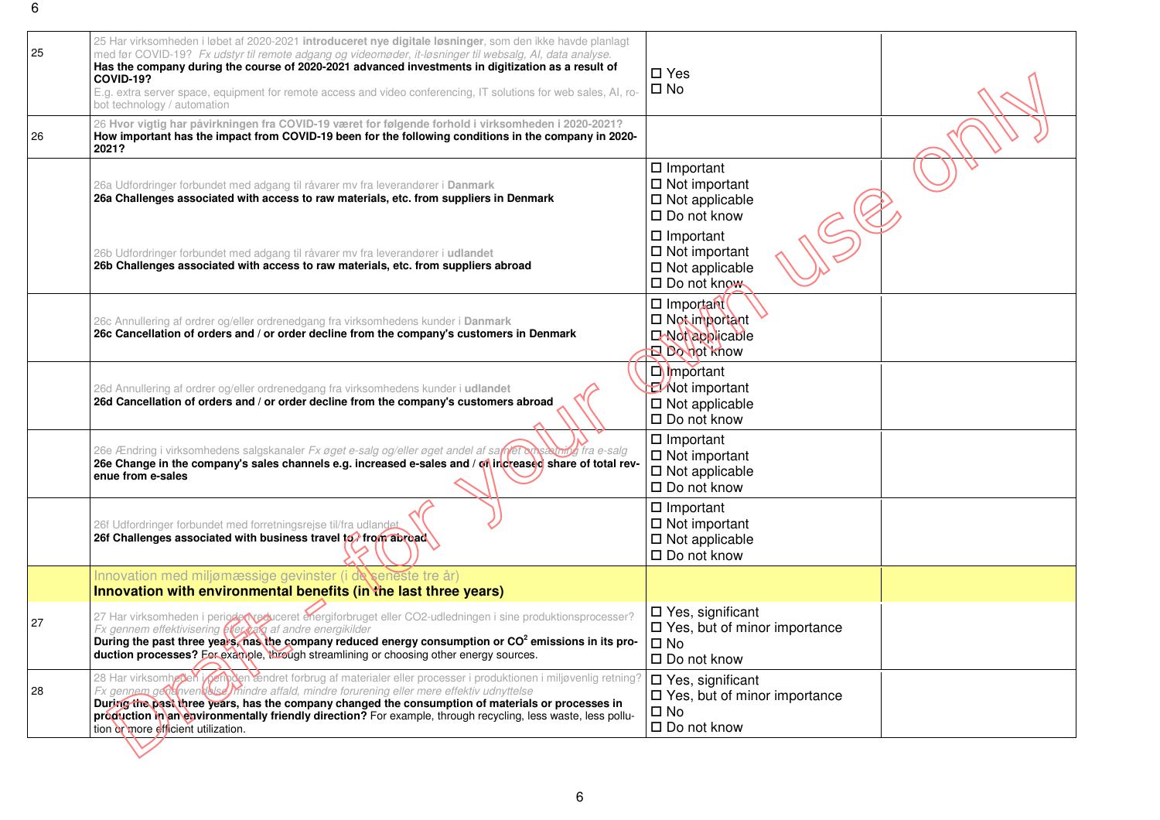| 25<br>26 | 25 Har virksomheden i løbet af 2020-2021 introduceret nye digitale løsninger, som den ikke havde planlagt<br>med før COVID-19? Fx udstyr til remote adgang og videomøder, it-løsninger til websalg, AI, data analyse.<br>Has the company during the course of 2020-2021 advanced investments in digitization as a result of<br>COVID-19?<br>E.g. extra server space, equipment for remote access and video conferencing, IT solutions for web sales, AI, ro-<br>bot technology / automation<br>26 Hvor vigtig har påvirkningen fra COVID-19 været for følgende forhold i virksomheden i 2020-2021?<br>How important has the impact from COVID-19 been for the following conditions in the company in 2020- | $\square$ Yes<br>$\square$ No                                                                              |
|----------|------------------------------------------------------------------------------------------------------------------------------------------------------------------------------------------------------------------------------------------------------------------------------------------------------------------------------------------------------------------------------------------------------------------------------------------------------------------------------------------------------------------------------------------------------------------------------------------------------------------------------------------------------------------------------------------------------------|------------------------------------------------------------------------------------------------------------|
|          | 2021?                                                                                                                                                                                                                                                                                                                                                                                                                                                                                                                                                                                                                                                                                                      |                                                                                                            |
|          | 26a Udfordringer forbundet med adgang til råvarer mv fra leverandører i Danmark<br>26a Challenges associated with access to raw materials, etc. from suppliers in Denmark                                                                                                                                                                                                                                                                                                                                                                                                                                                                                                                                  | $\Box$ Important<br>$\Box$ Not important<br>$\square$ Not applicable<br>$\square$ Do not know              |
|          | 26b Udfordringer forbundet med adgang til råvarer mv fra leverandører i udlandet<br>26b Challenges associated with access to raw materials, etc. from suppliers abroad                                                                                                                                                                                                                                                                                                                                                                                                                                                                                                                                     | $\square$ Important<br>$\Box$ Not important<br>$\square$ Not applicable<br>□ Do not know                   |
|          | 26c Annullering af ordrer og/eller ordrenedgang fra virksomhedens kunder i Danmark<br>26c Cancellation of orders and / or order decline from the company's customers in Denmark                                                                                                                                                                                                                                                                                                                                                                                                                                                                                                                            | □ Important<br>$\Box$ Not important<br><b>LINO(applicable</b><br>Robot know                                |
|          | 26d Annullering af ordrer og/eller ordrenedgang fra virksomhedens kunder i udlandet<br>26d Cancellation of orders and / or order decline from the company's customers abroad                                                                                                                                                                                                                                                                                                                                                                                                                                                                                                                               | $\Box$ mportant<br><b>Mot important</b><br>$\square$ Not applicable<br>$\square$ Do not know               |
|          | 26e Ændring i virksomhedens salgskanaler Fx øget e-salg og/eller øget andel af samfet omsæmt of fra e-salg<br>26e Change in the company's sales channels e.g. increased e-sales and / on increased share of total rev-<br>enue from e-sales                                                                                                                                                                                                                                                                                                                                                                                                                                                                | $\Box$ Important<br>$\Box$ Not important<br>$\square$ Not applicable<br>$\square$ Do not know              |
|          | 26f Udfordringer forbundet med forretningsrejse til/fra udlandet<br>26f Challenges associated with business travel to dirory abroad                                                                                                                                                                                                                                                                                                                                                                                                                                                                                                                                                                        | $\Box$ Important<br>$\Box$ Not important<br>$\Box$ Not applicable<br>$\Box$ Do not know                    |
|          | Innovation med miljømæssige gevinster (i de seneste tre år)<br>Innovation with environmental benefits (in the last three years)                                                                                                                                                                                                                                                                                                                                                                                                                                                                                                                                                                            |                                                                                                            |
| 27       | 27 Har virksomheden i perioder reduceret energiforbruget eller CO2-udledningen i sine produktionsprocesser?<br>Fx gennem effektivisering <b>effer valg</b> af andre energikilder<br>During the past three years thas the company reduced energy consumption or CO <sup>2</sup> emissions in its pro-<br>duction processes? For example, through streamlining or choosing other energy sources.                                                                                                                                                                                                                                                                                                             | $\square$ Yes, significant<br>$\Box$ Yes, but of minor importance<br>$\square$ No<br>$\square$ Do not know |
| 28       | 28 Har virksomheden i penoden endret forbrug af materialer eller processer i produktionen i miljøvenlig retning?<br>Fx gennem geogneendelse mindre affald, mindre forurening eller mere effektiv udnyttelse<br>During the past three years, has the company changed the consumption of materials or processes in<br>production in an environmentally friendly direction? For example, through recycling, less waste, less pollu-<br>tion or more efficient utilization.                                                                                                                                                                                                                                    | $\Box$ Yes, significant<br>$\Box$ Yes, but of minor importance<br>$\square$ No<br>$\square$ Do not know    |
|          |                                                                                                                                                                                                                                                                                                                                                                                                                                                                                                                                                                                                                                                                                                            |                                                                                                            |